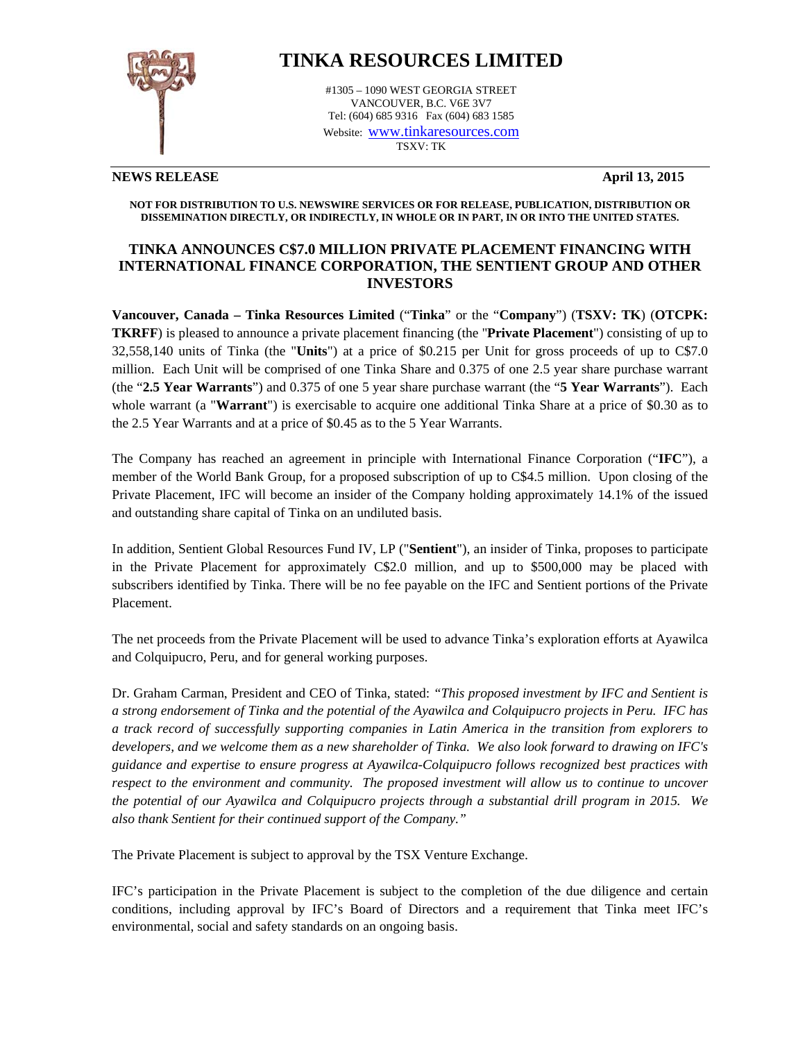

# **TINKA RESOURCES LIMITED**

#1305 – 1090 WEST GEORGIA STREET VANCOUVER, B.C. V6E 3V7 Tel: (604) 685 9316 Fax (604) 683 1585 Website: www.tinkaresources.com TSXV: TK

## **NEWS RELEASE April 13, 2015**

**NOT FOR DISTRIBUTION TO U.S. NEWSWIRE SERVICES OR FOR RELEASE, PUBLICATION, DISTRIBUTION OR DISSEMINATION DIRECTLY, OR INDIRECTLY, IN WHOLE OR IN PART, IN OR INTO THE UNITED STATES.** 

# **TINKA ANNOUNCES C\$7.0 MILLION PRIVATE PLACEMENT FINANCING WITH INTERNATIONAL FINANCE CORPORATION, THE SENTIENT GROUP AND OTHER INVESTORS**

**Vancouver, Canada – Tinka Resources Limited** ("**Tinka**" or the "**Company**") (**TSXV: TK**) (**OTCPK: TKRFF**) is pleased to announce a private placement financing (the "**Private Placement**") consisting of up to 32,558,140 units of Tinka (the "**Units**") at a price of \$0.215 per Unit for gross proceeds of up to C\$7.0 million. Each Unit will be comprised of one Tinka Share and 0.375 of one 2.5 year share purchase warrant (the "**2.5 Year Warrants**") and 0.375 of one 5 year share purchase warrant (the "**5 Year Warrants**"). Each whole warrant (a "**Warrant**") is exercisable to acquire one additional Tinka Share at a price of \$0.30 as to the 2.5 Year Warrants and at a price of \$0.45 as to the 5 Year Warrants.

The Company has reached an agreement in principle with International Finance Corporation ("**IFC**"), a member of the World Bank Group, for a proposed subscription of up to C\$4.5 million. Upon closing of the Private Placement, IFC will become an insider of the Company holding approximately 14.1% of the issued and outstanding share capital of Tinka on an undiluted basis.

In addition, Sentient Global Resources Fund IV, LP ("**Sentient**"), an insider of Tinka, proposes to participate in the Private Placement for approximately C\$2.0 million, and up to \$500,000 may be placed with subscribers identified by Tinka. There will be no fee payable on the IFC and Sentient portions of the Private Placement.

The net proceeds from the Private Placement will be used to advance Tinka's exploration efforts at Ayawilca and Colquipucro, Peru, and for general working purposes.

Dr. Graham Carman, President and CEO of Tinka, stated: *"This proposed investment by IFC and Sentient is a strong endorsement of Tinka and the potential of the Ayawilca and Colquipucro projects in Peru. IFC has a track record of successfully supporting companies in Latin America in the transition from explorers to developers, and we welcome them as a new shareholder of Tinka. We also look forward to drawing on IFC's guidance and expertise to ensure progress at Ayawilca-Colquipucro follows recognized best practices with respect to the environment and community. The proposed investment will allow us to continue to uncover the potential of our Ayawilca and Colquipucro projects through a substantial drill program in 2015. We also thank Sentient for their continued support of the Company."* 

The Private Placement is subject to approval by the TSX Venture Exchange.

IFC's participation in the Private Placement is subject to the completion of the due diligence and certain conditions, including approval by IFC's Board of Directors and a requirement that Tinka meet IFC's environmental, social and safety standards on an ongoing basis.